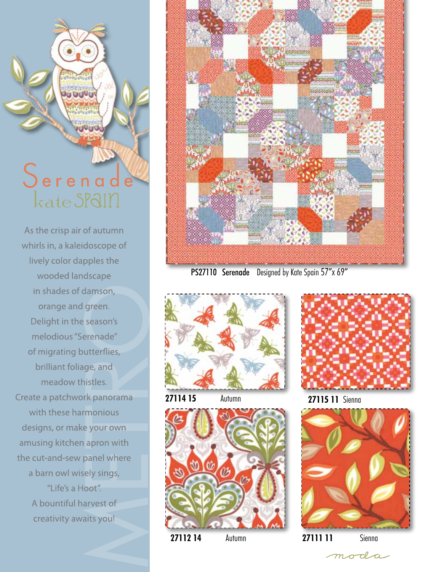## Serenade kate SPaIn

**UUUU** 

UUUU

As the crisp air of autumn whirls in, a kaleidoscope of lively color dapples the wooded landscape in shades of damson, orange and green. Delight in the season's melodious "Serenade" of migrating butterflies, brilliant foliage, and meadow thistles. Create a patchwork panorama with these harmonious designs, or make your own amusing kitchen apron with the cut-and-sew panel where a barn owl wisely sings, "Life's a Hoot". A bountiful harvest of creativity awaits you!



PS27110 Serenade Designed by Kate Spain 57"x 69"



**27114 15** Autumn **27115 11** Sienna









**27112 14** Autumn **27111 11** Sienna

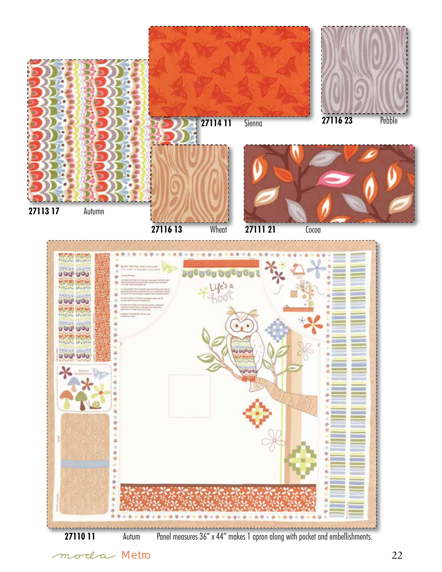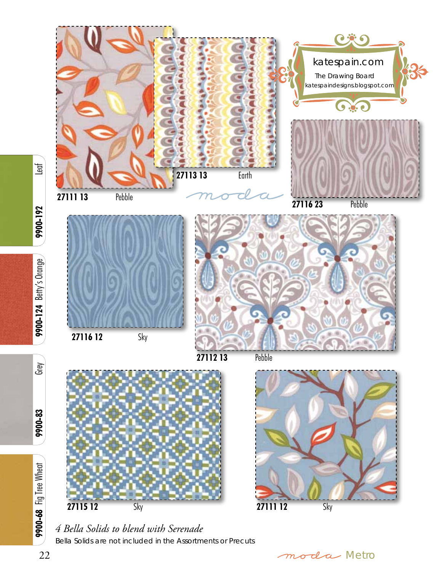

*4 Bella Solids to blend with Serenade* Bella Solids are not included in the Assortments or Precuts